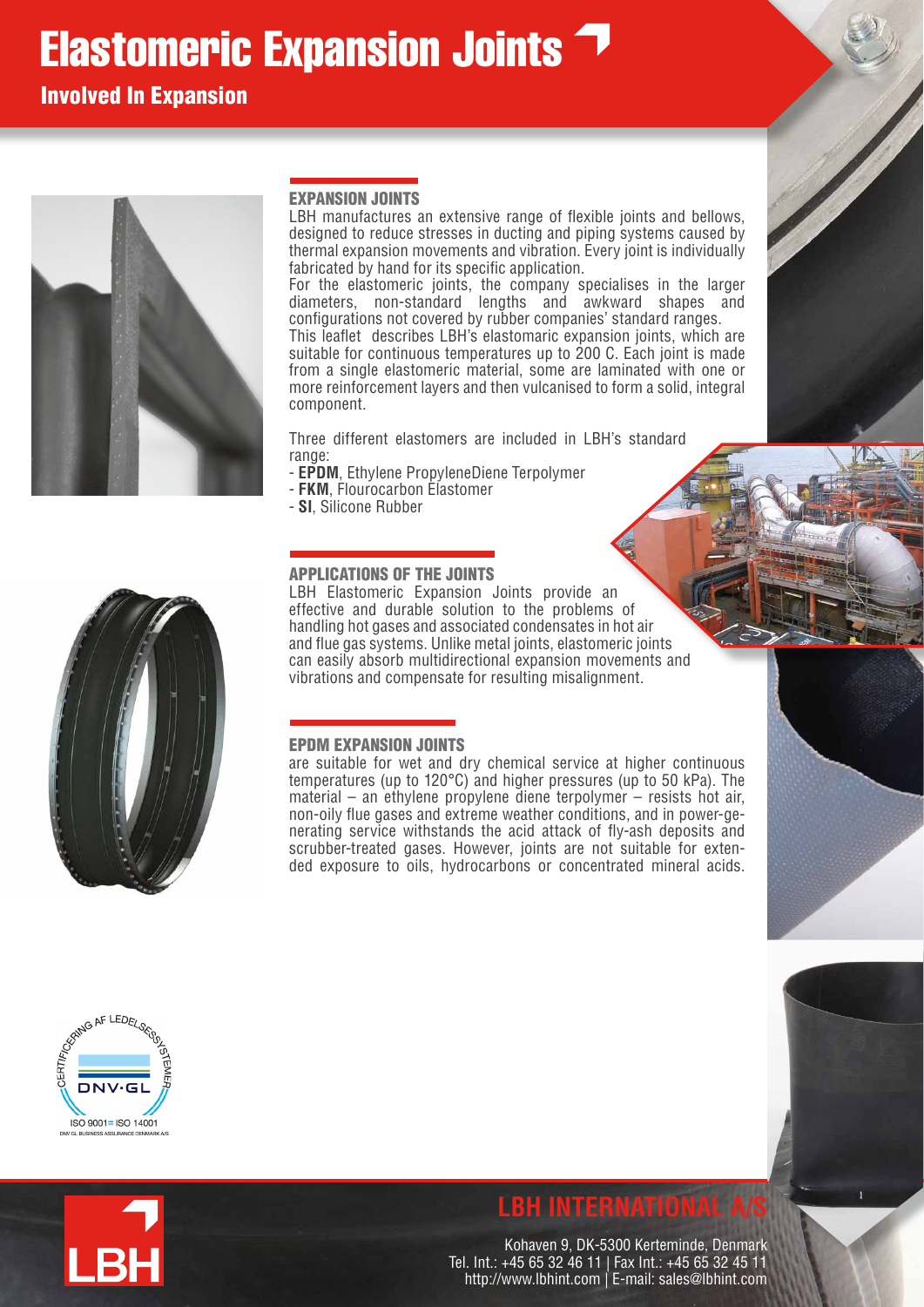# **Elastomeric Expansion Joints**

Involved In Expansion



#### EXPANSION JOINTS

LBH manufactures an extensive range of flexible joints and bellows, designed to reduce stresses in ducting and piping systems caused by thermal expansion movements and vibration. Every joint is individually fabricated by hand for its specific application.

For the elastomeric joints, the company specialises in the larger diameters, non-standard lengths and awkward shapes and configurations not covered by rubber companies' standard ranges. This leaflet describes LBH's elastomaric expansion joints, which are suitable for continuous temperatures up to 200 C. Each joint is made from a single elastomeric material, some are laminated with one or more reinforcement layers and then vulcanised to form a solid, integral component.

Three different elastomers are included in LBH's standard range:

- **EPDM**, Ethylene PropyleneDiene Terpolymer
- **FKM**, Flourocarbon Elastomer
- **SI**, Silicone Rubber



#### APPLICATIONS OF THE JOINTS

LBH Elastomeric Expansion Joints provide an effective and durable solution to the problems of handling hot gases and associated condensates in hot air and flue gas systems. Unlike metal joints, elastomeric joints can easily absorb multidirectional expansion movements and vibrations and compensate for resulting misalignment.

#### EPDM EXPANSION JOINTS

are suitable for wet and dry chemical service at higher continuous temperatures (up to 120°C) and higher pressures (up to 50 kPa). The material – an ethylene propylene diene terpolymer – resists hot air, non-oily flue gases and extreme weather conditions, and in power-generating service withstands the acid attack of fly-ash deposits and scrubber-treated gases. However, joints are not suitable for extended exposure to oils, hydrocarbons or concentrated mineral acids.





## **LBH INTERNATIONAL A**

Kohaven 9, DK-5300 Kerteminde, Denmark Tel. Int.: +45 65 32 46 11 | Fax Int.: +45 65 32 45 11 http://www.lbhint.com | E-mail: sales@lbhint.com